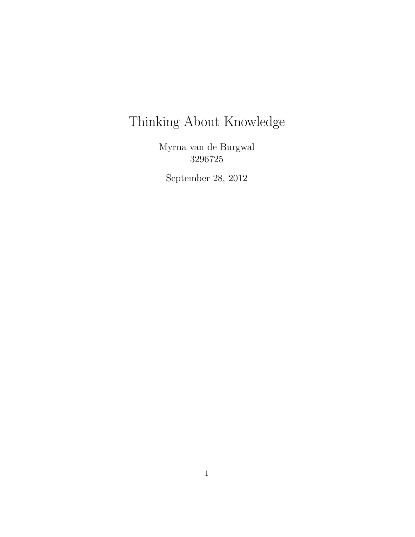# Thinking About Knowledge

Myrna van de Burgwal 3296725

September 28, 2012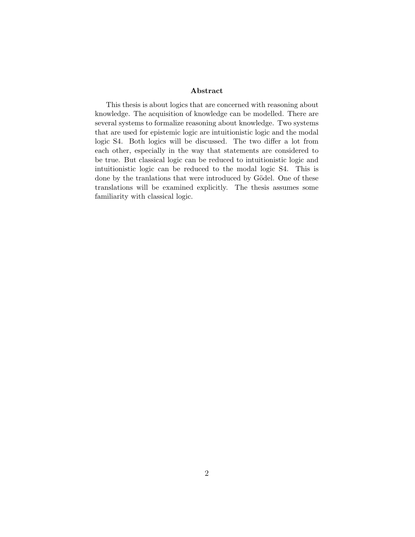#### Abstract

This thesis is about logics that are concerned with reasoning about knowledge. The acquisition of knowledge can be modelled. There are several systems to formalize reasoning about knowledge. Two systems that are used for epistemic logic are intuitionistic logic and the modal logic S4. Both logics will be discussed. The two differ a lot from each other, especially in the way that statements are considered to be true. But classical logic can be reduced to intuitionistic logic and intuitionistic logic can be reduced to the modal logic S4. This is done by the tranlations that were introduced by Gödel. One of these translations will be examined explicitly. The thesis assumes some familiarity with classical logic.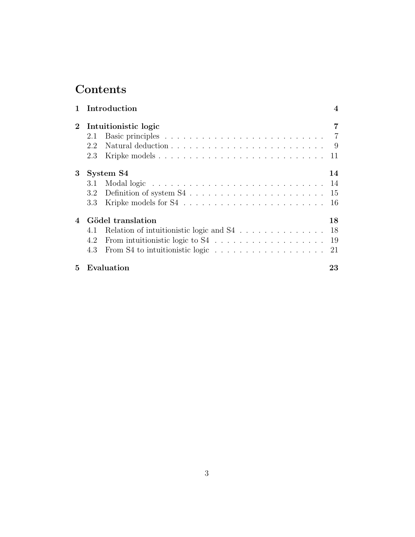## Contents

|                            | 1 Introduction                                                                        | $\boldsymbol{4}$ |
|----------------------------|---------------------------------------------------------------------------------------|------------------|
| $\overline{2}$             | Intuition istic logic                                                                 | 7                |
|                            | 2.1                                                                                   |                  |
|                            | Natural deduction $\ldots \ldots \ldots \ldots \ldots \ldots \ldots \ldots$<br>2.2    |                  |
|                            | 2.3                                                                                   | 11               |
| 3                          | System S4                                                                             | 14               |
|                            | 3.1                                                                                   | 14               |
|                            |                                                                                       |                  |
|                            | $3.3\,$                                                                               | 16               |
| $\boldsymbol{\mathcal{A}}$ | Gödel translation                                                                     | 18               |
|                            | 4.1                                                                                   |                  |
|                            | 4.2                                                                                   |                  |
|                            | From S4 to intuitionistic logic $\ldots \ldots \ldots \ldots \ldots \ldots 21$<br>4.3 |                  |
| $5^{\circ}$                | Evaluation                                                                            | 23               |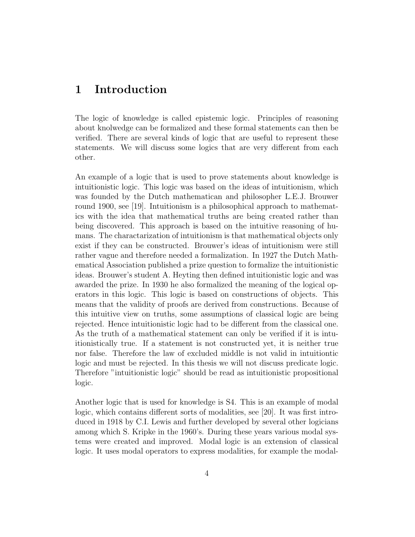## 1 Introduction

The logic of knowledge is called epistemic logic. Principles of reasoning about knolwedge can be formalized and these formal statements can then be verified. There are several kinds of logic that are useful to represent these statements. We will discuss some logics that are very different from each other.

An example of a logic that is used to prove statements about knowledge is intuitionistic logic. This logic was based on the ideas of intuitionism, which was founded by the Dutch mathematican and philosopher L.E.J. Brouwer round 1900, see [19]. Intuitionism is a philosophical approach to mathematics with the idea that mathematical truths are being created rather than being discovered. This approach is based on the intuitive reasoning of humans. The charactarization of intuitionism is that mathematical objects only exist if they can be constructed. Brouwer's ideas of intuitionism were still rather vague and therefore needed a formalization. In 1927 the Dutch Mathematical Association published a prize question to formalize the intuitionistic ideas. Brouwer's student A. Heyting then defined intuitionistic logic and was awarded the prize. In 1930 he also formalized the meaning of the logical operators in this logic. This logic is based on constructions of objects. This means that the validity of proofs are derived from constructions. Because of this intuitive view on truths, some assumptions of classical logic are being rejected. Hence intuitionistic logic had to be different from the classical one. As the truth of a mathematical statement can only be verified if it is intuitionistically true. If a statement is not constructed yet, it is neither true nor false. Therefore the law of excluded middle is not valid in intuitiontic logic and must be rejected. In this thesis we will not discuss predicate logic. Therefore "intuitionistic logic" should be read as intuitionistic propositional logic.

Another logic that is used for knowledge is S4. This is an example of modal logic, which contains different sorts of modalities, see [20]. It was first introduced in 1918 by C.I. Lewis and further developed by several other logicians among which S. Kripke in the 1960's. During these years various modal systems were created and improved. Modal logic is an extension of classical logic. It uses modal operators to express modalities, for example the modal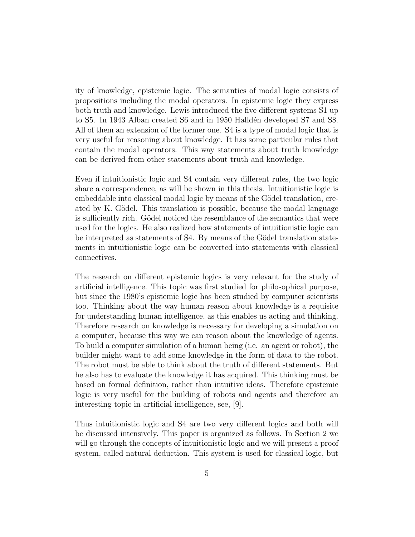ity of knowledge, epistemic logic. The semantics of modal logic consists of propositions including the modal operators. In epistemic logic they express both truth and knowledge. Lewis introduced the five different systems S1 up to S5. In 1943 Alban created S6 and in 1950 Halldén developed S7 and S8. All of them an extension of the former one. S4 is a type of modal logic that is very useful for reasoning about knowledge. It has some particular rules that contain the modal operators. This way statements about truth knowledge can be derived from other statements about truth and knowledge.

Even if intuitionistic logic and S4 contain very different rules, the two logic share a correspondence, as will be shown in this thesis. Intuitionistic logic is embeddable into classical modal logic by means of the Gödel translation, created by K. Gödel. This translation is possible, because the modal language is sufficiently rich. Gödel noticed the resemblance of the semantics that were used for the logics. He also realized how statements of intuitionistic logic can be interpreted as statements of S4. By means of the Gödel translation statements in intuitionistic logic can be converted into statements with classical connectives.

The research on different epistemic logics is very relevant for the study of artificial intelligence. This topic was first studied for philosophical purpose, but since the 1980's epistemic logic has been studied by computer scientists too. Thinking about the way human reason about knowledge is a requisite for understanding human intelligence, as this enables us acting and thinking. Therefore research on knowledge is necessary for developing a simulation on a computer, because this way we can reason about the knowledge of agents. To build a computer simulation of a human being (i.e. an agent or robot), the builder might want to add some knowledge in the form of data to the robot. The robot must be able to think about the truth of different statements. But he also has to evaluate the knowledge it has acquired. This thinking must be based on formal definition, rather than intuitive ideas. Therefore epistemic logic is very useful for the building of robots and agents and therefore an interesting topic in artificial intelligence, see, [9].

Thus intuitionistic logic and S4 are two very different logics and both will be discussed intensively. This paper is organized as follows. In Section 2 we will go through the concepts of intuitionistic logic and we will present a proof system, called natural deduction. This system is used for classical logic, but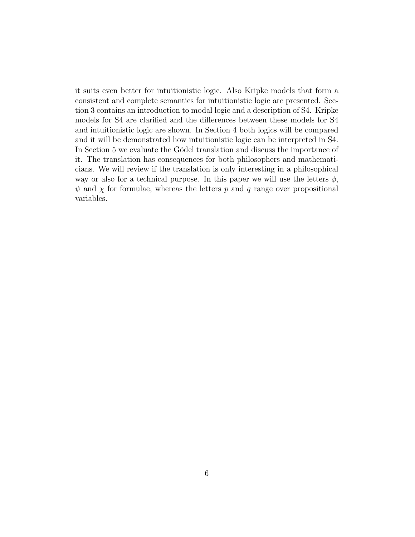it suits even better for intuitionistic logic. Also Kripke models that form a consistent and complete semantics for intuitionistic logic are presented. Section 3 contains an introduction to modal logic and a description of S4. Kripke models for S4 are clarified and the differences between these models for S4 and intuitionistic logic are shown. In Section 4 both logics will be compared and it will be demonstrated how intuitionistic logic can be interpreted in S4. In Section 5 we evaluate the Gödel translation and discuss the importance of it. The translation has consequences for both philosophers and mathematicians. We will review if the translation is only interesting in a philosophical way or also for a technical purpose. In this paper we will use the letters  $\phi$ ,  $\psi$  and  $\chi$  for formulae, whereas the letters p and q range over propositional variables.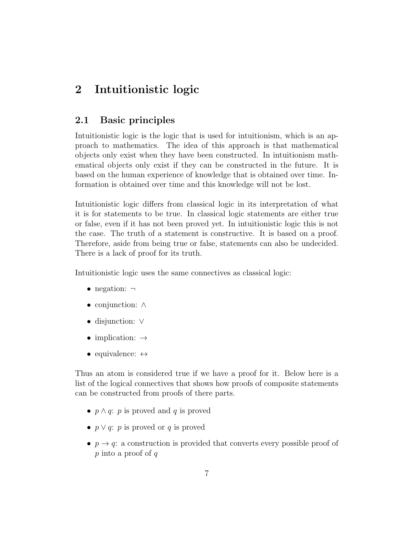## 2 Intuitionistic logic

#### 2.1 Basic principles

Intuitionistic logic is the logic that is used for intuitionism, which is an approach to mathematics. The idea of this approach is that mathematical objects only exist when they have been constructed. In intuitionism mathematical objects only exist if they can be constructed in the future. It is based on the human experience of knowledge that is obtained over time. Information is obtained over time and this knowledge will not be lost.

Intuitionistic logic differs from classical logic in its interpretation of what it is for statements to be true. In classical logic statements are either true or false, even if it has not been proved yet. In intuitionistic logic this is not the case. The truth of a statement is constructive. It is based on a proof. Therefore, aside from being true or false, statements can also be undecided. There is a lack of proof for its truth.

Intuitionistic logic uses the same connectives as classical logic:

- negation:  $\neg$
- conjunction: ∧
- disjunction: ∨
- implication:  $\rightarrow$
- equivalence:  $\leftrightarrow$

Thus an atom is considered true if we have a proof for it. Below here is a list of the logical connectives that shows how proofs of composite statements can be constructed from proofs of there parts.

- $p \wedge q$ : p is proved and q is proved
- $p \vee q$ : p is proved or q is proved
- $p \rightarrow q$ : a construction is provided that converts every possible proof of p into a proof of q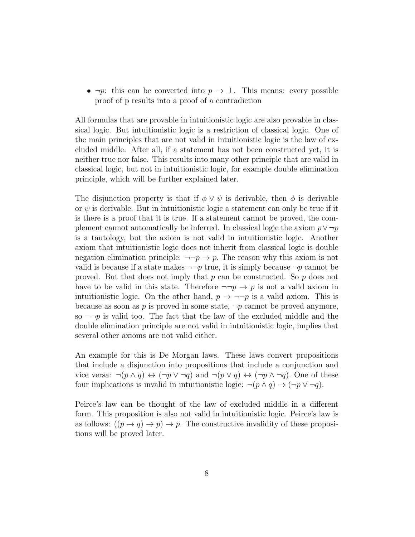•  $\neg p$ : this can be converted into  $p \to \bot$ . This means: every possible proof of p results into a proof of a contradiction

All formulas that are provable in intuitionistic logic are also provable in classical logic. But intuitionistic logic is a restriction of classical logic. One of the main principles that are not valid in intuitionistic logic is the law of excluded middle. After all, if a statement has not been constructed yet, it is neither true nor false. This results into many other principle that are valid in classical logic, but not in intuitionistic logic, for example double elimination principle, which will be further explained later.

The disjunction property is that if  $\phi \vee \psi$  is derivable, then  $\phi$  is derivable or  $\psi$  is derivable. But in intuitionistic logic a statement can only be true if it is there is a proof that it is true. If a statement cannot be proved, the complement cannot automatically be inferred. In classical logic the axiom  $p \vee \neg p$ is a tautology, but the axiom is not valid in intuitionistic logic. Another axiom that intuitionistic logic does not inherit from classical logic is double negation elimination principle:  $\neg\neg p \rightarrow p$ . The reason why this axiom is not valid is because if a state makes  $\neg\neg p$  true, it is simply because  $\neg p$  cannot be proved. But that does not imply that p can be constructed. So p does not have to be valid in this state. Therefore  $\neg\neg p \rightarrow p$  is not a valid axiom in intuitionistic logic. On the other hand,  $p \to \neg \neg p$  is a valid axiom. This is because as soon as p is proved in some state,  $\neg p$  cannot be proved anymore, so  $\neg\neg p$  is valid too. The fact that the law of the excluded middle and the double elimination principle are not valid in intuitionistic logic, implies that several other axioms are not valid either.

An example for this is De Morgan laws. These laws convert propositions that include a disjunction into propositions that include a conjunction and vice versa:  $\neg(p \land q) \leftrightarrow (\neg p \lor \neg q)$  and  $\neg(p \lor q) \leftrightarrow (\neg p \land \neg q)$ . One of these four implications is invalid in intuitionistic logic:  $\neg(p \land q) \rightarrow (\neg p \lor \neg q)$ .

Peirce's law can be thought of the law of excluded middle in a different form. This proposition is also not valid in intuitionistic logic. Peirce's law is as follows:  $((p \rightarrow q) \rightarrow p) \rightarrow p$ . The constructive invalidity of these propositions will be proved later.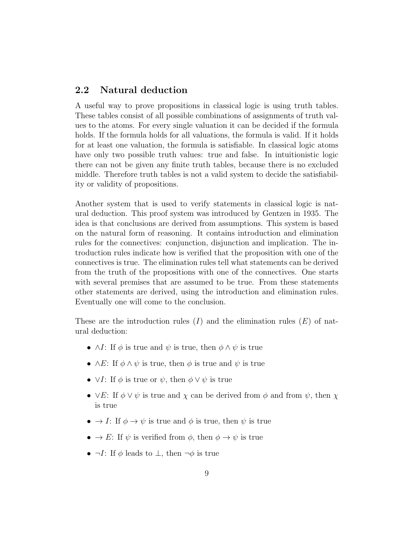#### 2.2 Natural deduction

A useful way to prove propositions in classical logic is using truth tables. These tables consist of all possible combinations of assignments of truth values to the atoms. For every single valuation it can be decided if the formula holds. If the formula holds for all valuations, the formula is valid. If it holds for at least one valuation, the formula is satisfiable. In classical logic atoms have only two possible truth values: true and false. In intuitionistic logic there can not be given any finite truth tables, because there is no excluded middle. Therefore truth tables is not a valid system to decide the satisfiability or validity of propositions.

Another system that is used to verify statements in classical logic is natural deduction. This proof system was introduced by Gentzen in 1935. The idea is that conclusions are derived from assumptions. This system is based on the natural form of reasoning. It contains introduction and elimination rules for the connectives: conjunction, disjunction and implication. The introduction rules indicate how is verified that the proposition with one of the connectives is true. The elimination rules tell what statements can be derived from the truth of the propositions with one of the connectives. One starts with several premises that are assumed to be true. From these statements other statements are derived, using the introduction and elimination rules. Eventually one will come to the conclusion.

These are the introduction rules  $(I)$  and the elimination rules  $(E)$  of natural deduction:

- $\wedge I$ : If  $\phi$  is true and  $\psi$  is true, then  $\phi \wedge \psi$  is true
- $\wedge E$ : If  $\phi \wedge \psi$  is true, then  $\phi$  is true and  $\psi$  is true
- $\vee I$ : If  $\phi$  is true or  $\psi$ , then  $\phi \vee \psi$  is true
- $\vee E$ : If  $\phi \vee \psi$  is true and  $\chi$  can be derived from  $\phi$  and from  $\psi$ , then  $\chi$ is true
- $\rightarrow I$ : If  $\phi \rightarrow \psi$  is true and  $\phi$  is true, then  $\psi$  is true
- $\rightarrow E$ : If  $\psi$  is verified from  $\phi$ , then  $\phi \rightarrow \psi$  is true
- $\neg I$ : If  $\phi$  leads to  $\bot$ , then  $\neg \phi$  is true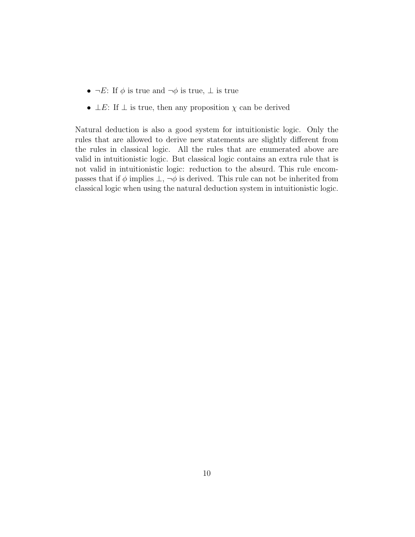- $\neg E$ : If  $\phi$  is true and  $\neg \phi$  is true,  $\bot$  is true
- $\perp E$ : If  $\perp$  is true, then any proposition  $\chi$  can be derived

Natural deduction is also a good system for intuitionistic logic. Only the rules that are allowed to derive new statements are slightly different from the rules in classical logic. All the rules that are enumerated above are valid in intuitionistic logic. But classical logic contains an extra rule that is not valid in intuitionistic logic: reduction to the absurd. This rule encompasses that if  $\phi$  implies  $\perp$ ,  $\neg \phi$  is derived. This rule can not be inherited from classical logic when using the natural deduction system in intuitionistic logic.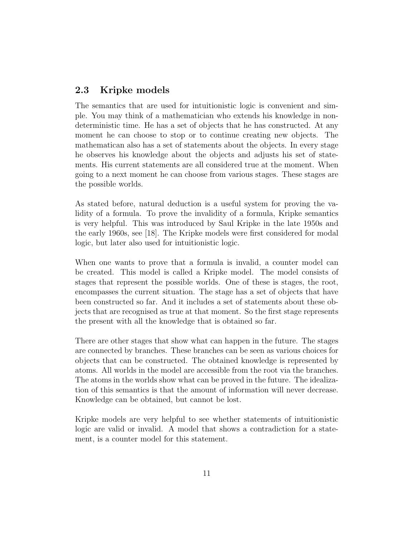#### 2.3 Kripke models

The semantics that are used for intuitionistic logic is convenient and simple. You may think of a mathematician who extends his knowledge in nondeterministic time. He has a set of objects that he has constructed. At any moment he can choose to stop or to continue creating new objects. The mathematican also has a set of statements about the objects. In every stage he observes his knowledge about the objects and adjusts his set of statements. His current statements are all considered true at the moment. When going to a next moment he can choose from various stages. These stages are the possible worlds.

As stated before, natural deduction is a useful system for proving the validity of a formula. To prove the invalidity of a formula, Kripke semantics is very helpful. This was introduced by Saul Kripke in the late 1950s and the early 1960s, see [18]. The Kripke models were first considered for modal logic, but later also used for intuitionistic logic.

When one wants to prove that a formula is invalid, a counter model can be created. This model is called a Kripke model. The model consists of stages that represent the possible worlds. One of these is stages, the root, encompasses the current situation. The stage has a set of objects that have been constructed so far. And it includes a set of statements about these objects that are recognised as true at that moment. So the first stage represents the present with all the knowledge that is obtained so far.

There are other stages that show what can happen in the future. The stages are connected by branches. These branches can be seen as various choices for objects that can be constructed. The obtained knowledge is represented by atoms. All worlds in the model are accessible from the root via the branches. The atoms in the worlds show what can be proved in the future. The idealization of this semantics is that the amount of information will never decrease. Knowledge can be obtained, but cannot be lost.

Kripke models are very helpful to see whether statements of intuitionistic logic are valid or invalid. A model that shows a contradiction for a statement, is a counter model for this statement.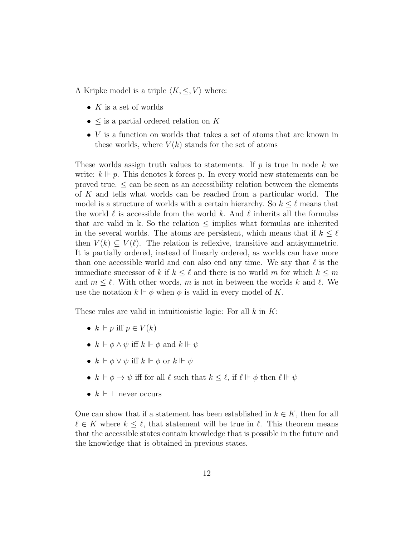A Kripke model is a triple  $\langle K, \leq, V \rangle$  where:

- $K$  is a set of worlds
- $\leq$  is a partial ordered relation on K
- *V* is a function on worlds that takes a set of atoms that are known in these worlds, where  $V(k)$  stands for the set of atoms

These worlds assign truth values to statements. If  $p$  is true in node k we write:  $k \Vdash p$ . This denotes k forces p. In every world new statements can be proved true.  $\leq$  can be seen as an accessibility relation between the elements of K and tells what worlds can be reached from a particular world. The model is a structure of worlds with a certain hierarchy. So  $k \leq \ell$  means that the world  $\ell$  is accessible from the world k. And  $\ell$  inherits all the formulas that are valid in k. So the relation  $\leq$  implies what formulas are inherited in the several worlds. The atoms are persistent, which means that if  $k \leq \ell$ then  $V(k) \subseteq V(\ell)$ . The relation is reflexive, transitive and antisymmetric. It is partially ordered, instead of linearly ordered, as worlds can have more than one accessible world and can also end any time. We say that  $\ell$  is the immediate successor of k if  $k \leq \ell$  and there is no world m for which  $k \leq m$ and  $m \leq \ell$ . With other words, m is not in between the worlds k and  $\ell$ . We use the notation  $k \Vdash \phi$  when  $\phi$  is valid in every model of K.

These rules are valid in intuitionistic logic: For all  $k$  in  $K$ :

- $k \Vdash p$  iff  $p \in V(k)$
- $k \Vdash \phi \land \psi$  iff  $k \Vdash \phi$  and  $k \Vdash \psi$
- $k \Vdash \phi \vee \psi$  iff  $k \Vdash \phi$  or  $k \Vdash \psi$
- $k \Vdash \phi \rightarrow \psi$  iff for all  $\ell$  such that  $k \leq \ell$ , if  $\ell \Vdash \phi$  then  $\ell \Vdash \psi$
- $k \Vdash \bot$  never occurs

One can show that if a statement has been established in  $k \in K$ , then for all  $\ell \in K$  where  $k \leq \ell$ , that statement will be true in  $\ell$ . This theorem means that the accessible states contain knowledge that is possible in the future and the knowledge that is obtained in previous states.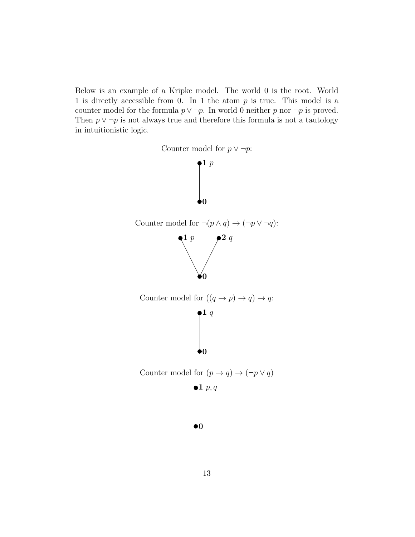Below is an example of a Kripke model. The world 0 is the root. World 1 is directly accessible from 0. In 1 the atom  $p$  is true. This model is a counter model for the formula  $p \vee \neg p$ . In world 0 neither p nor  $\neg p$  is proved. Then  $p \vee \neg p$  is not always true and therefore this formula is not a tautology in intuitionistic logic.

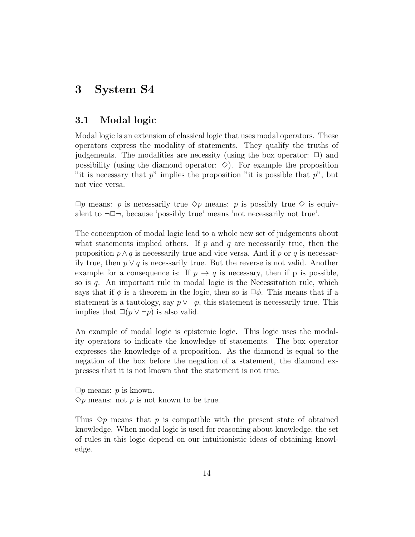## 3 System S4

#### 3.1 Modal logic

Modal logic is an extension of classical logic that uses modal operators. These operators express the modality of statements. They qualify the truths of judgements. The modalities are necessity (using the box operator:  $\Box$ ) and possibility (using the diamond operator:  $\diamond$ ). For example the proposition "it is necessary that  $p$ " implies the proposition "it is possible that  $p$ ", but not vice versa.

 $\Box p$  means: p is necessarily true  $\diamond p$  means: p is possibly true  $\diamond$  is equivalent to  $\neg \Box \neg$ , because 'possibly true' means 'not necessarily not true'.

The concenption of modal logic lead to a whole new set of judgements about what statements implied others. If  $p$  and  $q$  are necessarily true, then the proposition  $p \wedge q$  is necessarily true and vice versa. And if p or q is necessarily true, then  $p \vee q$  is necessarily true. But the reverse is not valid. Another example for a consequence is: If  $p \to q$  is necessary, then if p is possible, so is  $q$ . An important rule in modal logic is the Necessitation rule, which says that if  $\phi$  is a theorem in the logic, then so is  $\Box \phi$ . This means that if a statement is a tautology, say  $p \vee \neg p$ , this statement is necessarily true. This implies that  $\square(p \vee \neg p)$  is also valid.

An example of modal logic is epistemic logic. This logic uses the modality operators to indicate the knowledge of statements. The box operator expresses the knowledge of a proposition. As the diamond is equal to the negation of the box before the negation of a statement, the diamond expresses that it is not known that the statement is not true.

 $\Box p$  means: p is known.  $\Diamond p$  means: not p is not known to be true.

Thus  $\Diamond p$  means that p is compatible with the present state of obtained knowledge. When modal logic is used for reasoning about knowledge, the set of rules in this logic depend on our intuitionistic ideas of obtaining knowledge.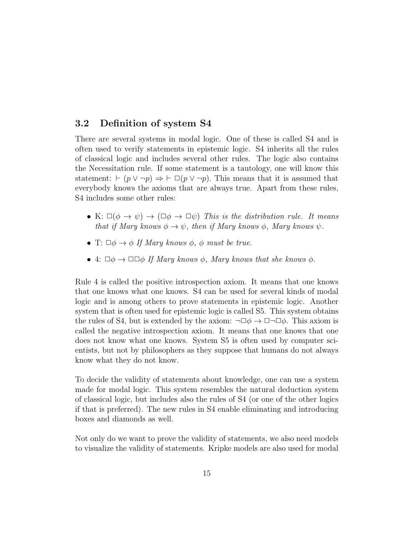#### 3.2 Definition of system S4

There are several systems in modal logic. One of these is called S4 and is often used to verify statements in epistemic logic. S4 inherits all the rules of classical logic and includes several other rules. The logic also contains the Necessitation rule. If some statement is a tautology, one will know this statement:  $\vdash (p \lor \neg p) \Rightarrow \vdash \Box (p \lor \neg p)$ . This means that it is assumed that everybody knows the axioms that are always true. Apart from these rules, S4 includes some other rules:

- K:  $\square(\phi \to \psi) \to (\square \phi \to \square \psi)$  This is the distribution rule. It means that if Mary knows  $\phi \to \psi$ , then if Mary knows  $\phi$ , Mary knows  $\psi$ .
- T:  $\Box \phi \rightarrow \phi$  If Mary knows  $\phi$ ,  $\phi$  must be true.
- 4:  $\Box \phi \rightarrow \Box \Box \phi$  If Mary knows  $\phi$ , Mary knows that she knows  $\phi$ .

Rule 4 is called the positive introspection axiom. It means that one knows that one knows what one knows. S4 can be used for several kinds of modal logic and is among others to prove statements in epistemic logic. Another system that is often used for epistemic logic is called S5. This system obtains the rules of S4, but is extended by the axiom:  $\neg\Box\phi \rightarrow \Box\neg\Box\phi$ . This axiom is called the negative introspection axiom. It means that one knows that one does not know what one knows. System S5 is often used by computer scientists, but not by philosophers as they suppose that humans do not always know what they do not know.

To decide the validity of statements about knowledge, one can use a system made for modal logic. This system resembles the natural deduction system of classical logic, but includes also the rules of S4 (or one of the other logics if that is preferred). The new rules in S4 enable eliminating and introducing boxes and diamonds as well.

Not only do we want to prove the validity of statements, we also need models to visualize the validity of statements. Kripke models are also used for modal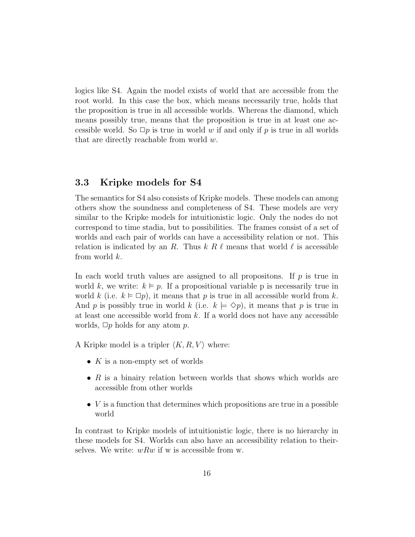logics like S4. Again the model exists of world that are accessible from the root world. In this case the box, which means necessarily true, holds that the proposition is true in all accessible worlds. Whereas the diamond, which means possibly true, means that the proposition is true in at least one accessible world. So  $\Box p$  is true in world w if and only if p is true in all worlds that are directly reachable from world w.

#### 3.3 Kripke models for S4

The semantics for S4 also consists of Kripke models. These models can among others show the soundness and completeness of S4. These models are very similar to the Kripke models for intuitionistic logic. Only the nodes do not correspond to time stadia, but to possibilities. The frames consist of a set of worlds and each pair of worlds can have a accessibility relation or not. This relation is indicated by an R. Thus  $k R \ell$  means that world  $\ell$  is accessible from world k.

In each world truth values are assigned to all propositions. If  $p$  is true in world k, we write:  $k \vDash p$ . If a propositional variable p is necessarily true in world k (i.e.  $k \vDash \Box p$ ), it means that p is true in all accessible world from k. And p is possibly true in world k (i.e.  $k \models \Diamond p$ ), it means that p is true in at least one accessible world from  $k$ . If a world does not have any accessible worlds,  $\Box p$  holds for any atom p.

A Kripke model is a tripler  $\langle K, R, V \rangle$  where:

- $K$  is a non-empty set of worlds
- $R$  is a binairy relation between worlds that shows which worlds are accessible from other worlds
- $V$  is a function that determines which propositions are true in a possible world

In contrast to Kripke models of intuitionistic logic, there is no hierarchy in these models for S4. Worlds can also have an accessibility relation to theirselves. We write:  $wRw$  if w is accessible from w.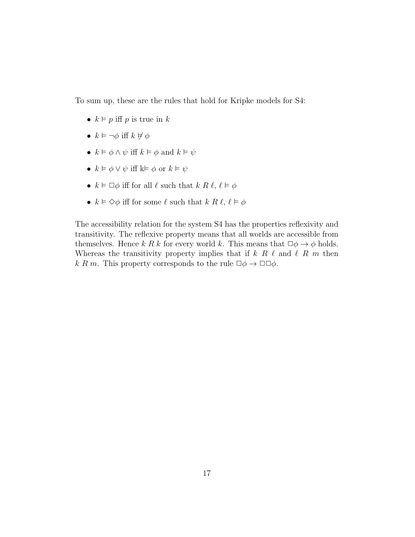To sum up, these are the rules that hold for Kripke models for S4:

- $k \vDash p$  iff p is true in k
- $k \vDash \neg \phi$  iff  $k \nvDash \phi$
- $k \vDash \phi \land \psi$  iff  $k \vDash \phi$  and  $k \vDash \psi$
- $k \vDash \phi \lor \psi$  iff  $k \vDash \phi$  or  $k \vDash \psi$
- $k \vDash \Box \phi$  iff for all  $\ell$  such that  $k \mathrel{R} \ell$ ,  $\ell \vDash \phi$
- $k \models \Diamond \phi$  iff for some  $\ell$  such that  $k R \ell, \ell \models \phi$

The accessibility relation for the system S4 has the properties reflexivity and transitivity. The reflexive property means that all worlds are accessible from themselves. Hence k R k for every world k. This means that  $\Box \phi \rightarrow \phi$  holds. Whereas the transitivity property implies that if  $k \ R \ \ell$  and  $\ell \ R \ m$  then k R m. This property corresponds to the rule  $\Box \phi \rightarrow \Box \Box \phi$ .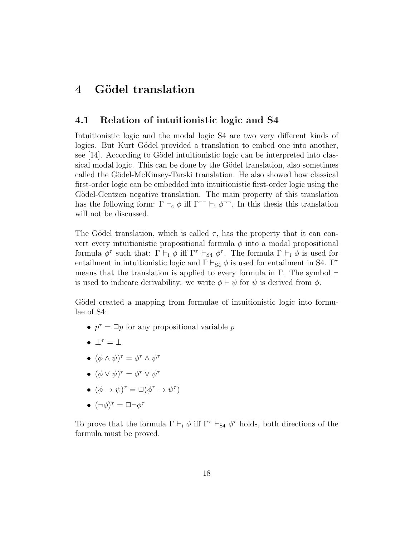## 4 Gödel translation

#### 4.1 Relation of intuitionistic logic and S4

Intuitionistic logic and the modal logic S4 are two very different kinds of logics. But Kurt Gödel provided a translation to embed one into another, see  $[14]$ . According to Gödel intuitionistic logic can be interpreted into classical modal logic. This can be done by the Gödel translation, also sometimes called the Gödel-McKinsey-Tarski translation. He also showed how classical first-order logic can be embedded into intuitionistic first-order logic using the Gödel-Gentzen negative translation. The main property of this translation has the following form:  $\Gamma \vdash_c \phi$  iff  $\Gamma \neg \vdash_i \phi \neg \neg$ . In this thesis this translation will not be discussed.

The Gödel translation, which is called  $\tau$ , has the property that it can convert every intuitionistic propositional formula  $\phi$  into a modal propositional formula  $\phi^{\tau}$  such that:  $\Gamma \vdash_i \phi$  iff  $\Gamma^{\tau} \vdash_{S4} \phi^{\tau}$ . The formula  $\Gamma \vdash_i \phi$  is used for entailment in intuitionistic logic and  $\Gamma \vdash_{\mathsf{S}4} \phi$  is used for entailment in S4. Γ<sup>τ</sup> means that the translation is applied to every formula in Γ. The symbol  $\vdash$ is used to indicate derivability: we write  $\phi \vdash \psi$  for  $\psi$  is derived from  $\phi$ .

Gödel created a mapping from formulae of intuitionistic logic into formulae of S4:

- $p^{\tau} = \Box p$  for any propositional variable p
- $\bullet \perp^{\tau} = \perp$
- $(\phi \wedge \psi)^{\tau} = \phi^{\tau} \wedge \psi^{\tau}$
- $(\phi \vee \psi)^{\tau} = \phi^{\tau} \vee \psi^{\tau}$
- $(\phi \to \psi)^{\tau} = \Box(\phi^{\tau} \to \psi^{\tau})$
- $(\neg \phi)^{\tau} = \Box \neg \phi^{\tau}$

To prove that the formula  $\Gamma \vdash_i \phi$  iff  $\Gamma^{\tau} \vdash_{S_4} \phi^{\tau}$  holds, both directions of the formula must be proved.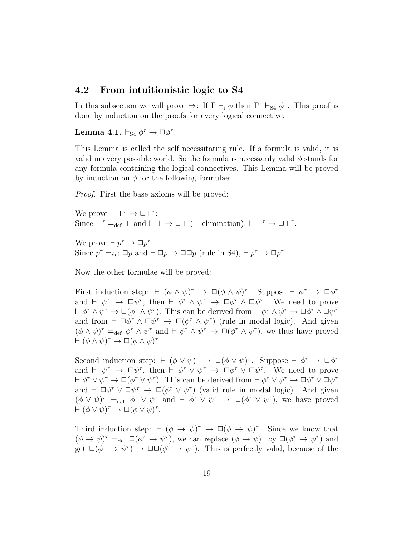#### 4.2 From intuitionistic logic to S4

In this subsection we will prove  $\Rightarrow$ : If  $\Gamma \vdash_i \phi$  then  $\Gamma^{\tau} \vdash_{S_4} \phi^{\tau}$ . This proof is done by induction on the proofs for every logical connective.

Lemma 4.1.  $\vdash_{\text{S}4} \phi^{\tau} \rightarrow \Box \phi^{\tau}$ .

This Lemma is called the self necessitating rule. If a formula is valid, it is valid in every possible world. So the formula is necessarily valid  $\phi$  stands for any formula containing the logical connectives. This Lemma will be proved by induction on  $\phi$  for the following formulae:

Proof. First the base axioms will be proved:

We prove  $\vdash \bot^{\tau} \to \Box \bot^{\tau}$ : Since  $\perp^{\tau} =_{def} \perp$  and  $\vdash \perp \rightarrow \Box \perp (\perp$  elimination),  $\vdash \perp^{\tau} \rightarrow \Box \perp^{\tau}$ .

We prove  $\vdash p^{\tau} \rightarrow \Box p^{\tau}$ : Since  $p^{\tau} =_{def} \Box p$  and  $\vdash \Box p \rightarrow \Box \Box p$  (rule in S4),  $\vdash p^{\tau} \rightarrow \Box p^{\tau}$ .

Now the other formulae will be proved:

First induction step:  $\vdash (\phi \land \psi)^{\tau} \rightarrow \Box(\phi \land \psi)^{\tau}$ . Suppose  $\vdash \phi^{\tau} \rightarrow \Box \phi^{\tau}$ and  $\vdash \psi^{\tau} \rightarrow \Box \psi^{\tau}$ , then  $\vdash \phi^{\tau} \land \psi^{\tau} \rightarrow \Box \phi^{\tau} \land \Box \psi^{\tau}$ . We need to prove  $\vdash \phi^{\tau} \wedge \psi^{\tau} \to \Box(\phi^{\tau} \wedge \psi^{\tau})$ . This can be derived from  $\vdash \phi^{\tau} \wedge \psi^{\tau} \to \Box \phi^{\tau} \wedge \Box \psi^{\tau}$ and from  $\vdash \Box \phi^{\tau} \land \Box \psi^{\tau} \to \Box (\phi^{\tau} \land \psi^{\tau})$  (rule in modal logic). And given  $(\phi \wedge \psi)^{\tau} =_{def} \phi^{\tau} \wedge \psi^{\tau}$  and  $\vdash \phi^{\tau} \wedge \psi^{\tau} \rightarrow \Box(\phi^{\tau} \wedge \psi^{\tau})$ , we thus have proved  $\vdash (\phi \land \psi)^{\tau} \rightarrow \Box (\phi \land \psi)^{\tau}.$ 

Second induction step:  $\vdash (\phi \lor \psi)^{\tau} \rightarrow \Box(\phi \lor \psi)^{\tau}$ . Suppose  $\vdash \phi^{\tau} \rightarrow \Box \phi^{\tau}$ and  $\vdash \psi^{\tau} \rightarrow \Box \psi^{\tau}$ , then  $\vdash \phi^{\tau} \lor \psi^{\tau} \rightarrow \Box \phi^{\tau} \lor \Box \psi^{\tau}$ . We need to prove  $\vdash \phi^{\tau} \lor \psi^{\tau} \to \Box(\phi^{\tau} \lor \psi^{\tau})$ . This can be derived from  $\vdash \phi^{\tau} \lor \psi^{\tau} \to \Box \phi^{\tau} \lor \Box \psi^{\tau}$ and  $\vdash \Box \phi^{\tau} \lor \Box \psi^{\tau} \to \Box (\phi^{\tau} \lor \psi^{\tau})$  (valid rule in modal logic). And given  $(\phi \lor \psi)^{\tau} =_{def} \phi^{\tau} \lor \psi^{\tau}$  and  $\vdash \phi^{\tau} \lor \psi^{\tau} \to \Box(\phi^{\tau} \lor \psi^{\tau})$ , we have proved  $\vdash (\phi \lor \psi)^{\tau} \to \Box (\phi \lor \psi)^{\tau}.$ 

Third induction step:  $\vdash (\phi \rightarrow \psi)^{\tau} \rightarrow \Box(\phi \rightarrow \psi)^{\tau}$ . Since we know that  $(\phi \to \psi)^{\tau} =_{def} \Box(\phi^{\tau} \to \psi^{\tau})$ , we can replace  $(\phi \to \psi)^{\tau}$  by  $\Box(\phi^{\tau} \to \psi^{\tau})$  and get  $\Box(\phi^{\tau} \to \psi^{\tau}) \to \Box \Box(\phi^{\tau} \to \psi^{\tau})$ . This is perfectly valid, because of the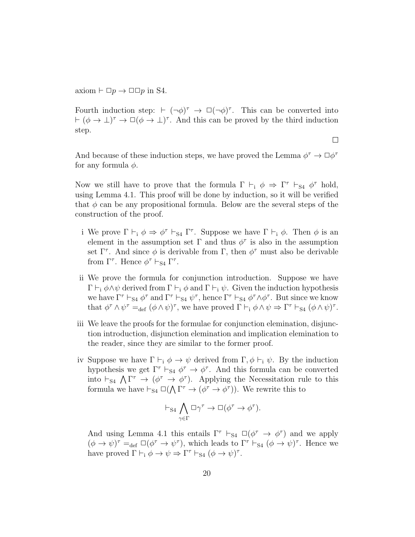axiom  $\vdash \Box p \rightarrow \Box \Box p$  in S4.

Fourth induction step:  $\vdash (\neg \phi)^{\tau} \rightarrow \Box(\neg \phi)^{\tau}$ . This can be converted into  $\vdash (\phi \rightarrow \bot)^{\tau} \rightarrow \Box (\phi \rightarrow \bot)^{\tau}$ . And this can be proved by the third induction step.

 $\Box$ 

And because of these induction steps, we have proved the Lemma  $\phi^{\tau} \to \Box \phi^{\tau}$ for any formula  $\phi$ .

Now we still have to prove that the formula  $\Gamma \vdash_i \phi \Rightarrow \Gamma^{\tau} \vdash_{S4} \phi^{\tau}$  hold, using Lemma 4.1. This proof will be done by induction, so it will be verified that  $\phi$  can be any propositional formula. Below are the several steps of the construction of the proof.

- i We prove  $\Gamma \vdash_i \phi \Rightarrow \phi^\tau \vdash_{S_4} \Gamma^\tau$ . Suppose we have  $\Gamma \vdash_i \phi$ . Then  $\phi$  is an element in the assumption set  $\Gamma$  and thus  $\phi^{\tau}$  is also in the assumption set  $\Gamma^{\tau}$ . And since  $\phi$  is derivable from  $\Gamma$ , then  $\phi^{\tau}$  must also be derivable from  $\Gamma^{\tau}$ . Hence  $\phi^{\tau} \vdash_{\mathbf{S}4} \Gamma^{\tau}$ .
- ii We prove the formula for conjunction introduction. Suppose we have  $\Gamma \vdash_i \phi \land \psi$  derived from  $\Gamma \vdash_i \phi$  and  $\Gamma \vdash_i \psi$ . Given the induction hypothesis we have  $\Gamma^{\tau} \vdash_{S4} \phi^{\tau}$  and  $\Gamma^{\tau} \vdash_{S4} \psi^{\tau}$ , hence  $\Gamma^{\tau} \vdash_{S4} \phi^{\tau} \wedge \phi^{\tau}$ . But since we know that  $\phi^{\tau} \wedge \psi^{\tau} =_{def} (\phi \wedge \psi)^{\tau}$ , we have proved  $\Gamma \vdash_i \phi \wedge \psi \Rightarrow \Gamma^{\tau} \vdash_{S4} (\phi \wedge \psi)^{\tau}$ .
- iii We leave the proofs for the formulae for conjunction elemination, disjunction introduction, disjunction elemination and implication elemination to the reader, since they are similar to the former proof.
- iv Suppose we have  $\Gamma \vdash_i \phi \to \psi$  derived from  $\Gamma, \phi \vdash_i \psi$ . By the induction hypothesis we get  $\Gamma^{\tau} \vdash_{S_4} \phi^{\tau} \rightarrow \phi^{\tau}$ . And this formula can be converted into  $\vdash_{S4} \bigwedge \Gamma^{\tau} \to (\phi^{\tau} \to \phi^{\tau})$ . Applying the Necessitation rule to this formula we have  $\vdash_{S4} \Box(\bigwedge \Gamma^{\tau} \to (\phi^{\tau} \to \phi^{\tau}))$ . We rewrite this to

$$
\vdash_{\mathbf{S4}} \bigwedge_{\gamma \in \Gamma} \Box \gamma^{\tau} \to \Box (\phi^{\tau} \to \phi^{\tau}).
$$

And using Lemma 4.1 this entails  $\Gamma^{\tau} \vdash_{S4} \Box (\phi^{\tau} \rightarrow \phi^{\tau})$  and we apply  $(\phi \to \psi)^{\tau} =_{def} \Box(\phi^{\tau} \to \psi^{\tau})$ , which leads to  $\Gamma^{\tau} \vdash_{S4} (\phi \to \psi)^{\tau}$ . Hence we have proved  $\Gamma \vdash_i \phi \to \psi \Rightarrow \Gamma^{\tau} \vdash_{S4} (\phi \to \psi)^{\tau}$ .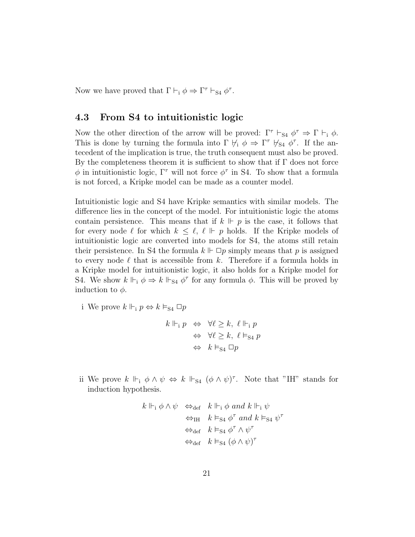Now we have proved that  $\Gamma \vdash_i \phi \Rightarrow \Gamma^{\tau} \vdash_{S4} \phi^{\tau}$ .

#### 4.3 From S4 to intuitionistic logic

Now the other direction of the arrow will be proved:  $\Gamma^{\tau} \vdash_{S4} \phi^{\tau} \Rightarrow \Gamma \vdash_{i} \phi$ . This is done by turning the formula into  $\Gamma \not\vdash_i \phi \Rightarrow \Gamma^{\tau} \not\vdash_{S4} \phi^{\tau}$ . If the antecedent of the implication is true, the truth consequent must also be proved. By the completeness theorem it is sufficient to show that if  $\Gamma$  does not force  $\phi$  in intuitionistic logic,  $\Gamma^{\tau}$  will not force  $\phi^{\tau}$  in S4. To show that a formula is not forced, a Kripke model can be made as a counter model.

Intuitionistic logic and S4 have Kripke semantics with similar models. The difference lies in the concept of the model. For intuitionistic logic the atoms contain persistence. This means that if  $k \Vdash p$  is the case, it follows that for every node  $\ell$  for which  $k \leq \ell, \ell \Vdash p$  holds. If the Kripke models of intuitionistic logic are converted into models for S4, the atoms still retain their persistence. In S4 the formula  $k \Vdash \Box p$  simply means that p is assigned to every node  $\ell$  that is accessible from k. Therefore if a formula holds in a Kripke model for intuitionistic logic, it also holds for a Kripke model for S4. We show  $k \Vdash_{i} \phi \Rightarrow k \Vdash_{S_4} \phi^{\tau}$  for any formula  $\phi$ . This will be proved by induction to  $\phi$ .

i We prove  $k \Vdash_{\mathrm{i}} p \Leftrightarrow k \vDash_{\mathrm{S4}} \Box p$ 

$$
k \Vdash_{\mathbf{i}} p \Leftrightarrow \forall \ell \geq k, \ell \Vdash_{\mathbf{i}} p
$$

$$
\Leftrightarrow \forall \ell \geq k, \ell \vDash_{\mathbf{S4}} p
$$

$$
\Leftrightarrow k \vDash_{\mathbf{S4}} \Box p
$$

ii We prove  $k \Vdash_{i} \phi \wedge \psi \Leftrightarrow k \Vdash_{S_4} (\phi \wedge \psi)^{\tau}$ . Note that "IH" stands for induction hypothesis.

$$
k \Vdash_{\mathbf{i}} \phi \land \psi \iff_{\text{def}} k \Vdash_{\mathbf{i}} \phi \text{ and } k \Vdash_{\mathbf{i}} \psi
$$
  

$$
\iff_{\text{IH}} k \vDash_{\text{S4}} \phi^{\tau} \text{ and } k \vDash_{\text{S4}} \psi^{\tau}
$$
  

$$
\iff_{\text{def}} k \vDash_{\text{S4}} \phi^{\tau} \land \psi^{\tau}
$$
  

$$
\iff_{\text{def}} k \vDash_{\text{S4}} (\phi \land \psi)^{\tau}
$$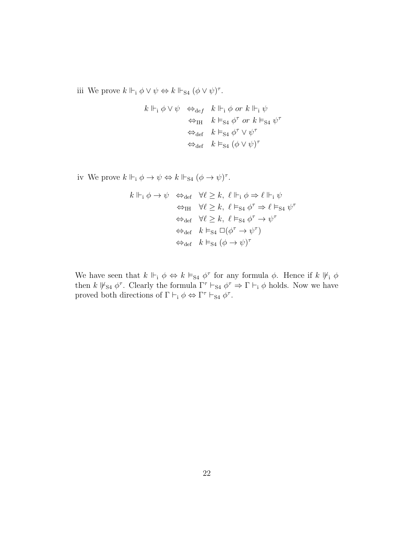iii We prove  $k \Vdash_{\mathbf{i}} \phi \vee \psi \Leftrightarrow k \Vdash_{\mathbf{S}4} (\phi \vee \psi)^{\tau}$ .

$$
k \Vdash_{\mathbf{i}} \phi \lor \psi \iff_{\text{def}} k \Vdash_{\mathbf{i}} \phi \text{ or } k \Vdash_{\mathbf{i}} \psi
$$
  

$$
\iff_{\text{IH}} k \vDash_{\text{S4}} \phi^{\tau} \text{ or } k \vDash_{\text{S4}} \psi^{\tau}
$$
  

$$
\iff_{\text{def}} k \vDash_{\text{S4}} \phi^{\tau} \lor \psi^{\tau}
$$
  

$$
\iff_{\text{def}} k \vDash_{\text{S4}} (\phi \lor \psi)^{\tau}
$$

iv We prove  $k \Vdash_{\mathbf{i}} \phi \to \psi \Leftrightarrow k \Vdash_{\mathbf{S}4} (\phi \to \psi)^{\tau}$ .

$$
\begin{array}{ll} k\Vdash_{\mathrm{i}}\phi\rightarrow\psi&\Leftrightarrow_{\mathrm{def}}&\forall\ell\geq k,\ \ell\Vdash_{\mathrm{i}}\phi\Rightarrow\ell\Vdash_{\mathrm{i}}\psi\\&\Leftrightarrow_{\mathrm{IH}}&\forall\ell\geq k,\ \ell\vDash_{\mathrm{S}4}\phi^{\tau}\Rightarrow\ell\vDash_{\mathrm{S}4}\psi^{\tau}\\&\Leftrightarrow_{\mathrm{def}}&\forall\ell\geq k,\ \ell\vDash_{\mathrm{S}4}\phi^{\tau}\rightarrow\psi^{\tau}\\&\Leftrightarrow_{\mathrm{def}}&k\vDash_{\mathrm{S}4}\Box(\phi^{\tau}\rightarrow\psi^{\tau})\\&\Leftrightarrow_{\mathrm{def}}&k\vDash_{\mathrm{S}4}(\phi\rightarrow\psi)^{\tau}\end{array}
$$

We have seen that  $k \Vdash_{i} \phi \Leftrightarrow k \vDash_{S_4} \phi^{\tau}$  for any formula  $\phi$ . Hence if  $k \Vdash_{i} \phi$ then  $k \not\Vdash_{S4} \phi^{\tau}$ . Clearly the formula  $\Gamma^{\tau} \vdash_{S4} \phi^{\tau} \Rightarrow \Gamma \vdash_{i} \phi$  holds. Now we have proved both directions of  $\Gamma \vdash_i \phi \Leftrightarrow \Gamma^{\tau} \vdash_{S4} \phi^{\tau}$ .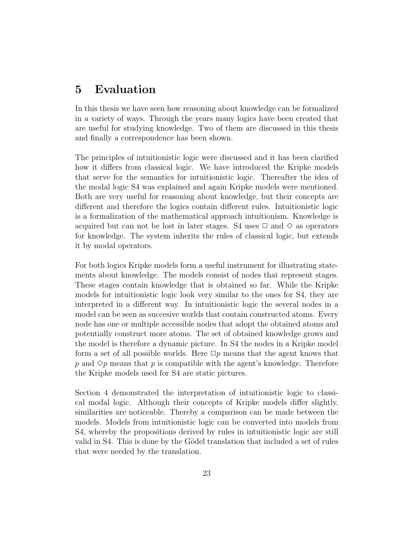## 5 Evaluation

In this thesis we have seen how reasoning about knowledge can be formalized in a variety of ways. Through the years many logics have been created that are useful for studying knowledge. Two of them are discussed in this thesis and finally a correspondence has been shown.

The principles of intuitionistic logic were discussed and it has been clarified how it differs from classical logic. We have introduced the Kripke models that serve for the semantics for intuitionistic logic. Thereafter the idea of the modal logic S4 was explained and again Kripke models were mentioned. Both are very useful for reasoning about knowledge, but their concepts are different and therefore the logics contain different rules. Intuitionistic logic is a formalization of the mathematical approach intuitionism. Knowledge is acquired but can not be lost in later stages. S4 uses  $\Box$  and  $\diamond$  as operators for knowledge. The system inherits the rules of classical logic, but extends it by modal operators.

For both logics Kripke models form a useful instrument for illustrating statements about knowledge. The models consist of nodes that represent stages. These stages contain knowledge that is obtained so far. While the Kripke models for intuitionistic logic look very similar to the ones for S4, they are interpreted in a different way. In intuitionistic logic the several nodes in a model can be seen as succesive worlds that contain constructed atoms. Every node has one or multiple accessible nodes that adopt the obtained atoms and potentially construct more atoms. The set of obtained knowledge grows and the model is therefore a dynamic picture. In S4 the nodes in a Kripke model form a set of all possible worlds. Here  $\Box p$  means that the agent knows that p and  $\Diamond p$  means that p is compatible with the agent's knowledge. Therefore the Kripke models used for S4 are static pictures.

Section 4 demonstrated the interpretation of intuitionistic logic to classical modal logic. Although their concepts of Kripke models differ slightly, similarities are noticeable. Thereby a comparison can be made between the models. Models from intuitionistic logic can be converted into models from S4, whereby the propositions derived by rules in intuitionistic logic are still valid in S4. This is done by the Gödel translation that included a set of rules that were needed by the translation.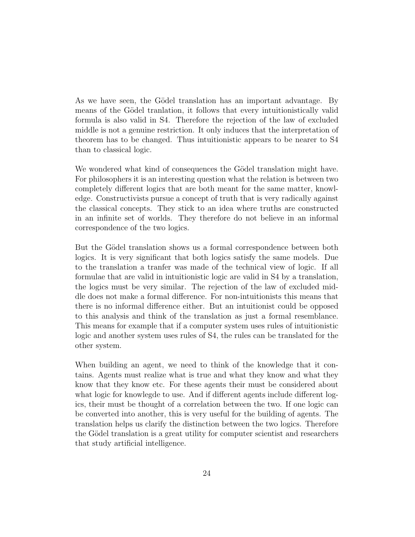As we have seen, the Gödel translation has an important advantage. By means of the Gödel tranlation, it follows that every intuitionistically valid formula is also valid in S4. Therefore the rejection of the law of excluded middle is not a genuine restriction. It only induces that the interpretation of theorem has to be changed. Thus intuitionistic appears to be nearer to S4 than to classical logic.

We wondered what kind of consequences the Gödel translation might have. For philosophers it is an interesting question what the relation is between two completely different logics that are both meant for the same matter, knowledge. Constructivists pursue a concept of truth that is very radically against the classical concepts. They stick to an idea where truths are constructed in an infinite set of worlds. They therefore do not believe in an informal correspondence of the two logics.

But the Gödel translation shows us a formal correspondence between both logics. It is very significant that both logics satisfy the same models. Due to the translation a tranfer was made of the technical view of logic. If all formulae that are valid in intuitionistic logic are valid in S4 by a translation, the logics must be very similar. The rejection of the law of excluded middle does not make a formal difference. For non-intuitionists this means that there is no informal difference either. But an intuitionist could be opposed to this analysis and think of the translation as just a formal resemblance. This means for example that if a computer system uses rules of intuitionistic logic and another system uses rules of S4, the rules can be translated for the other system.

When building an agent, we need to think of the knowledge that it contains. Agents must realize what is true and what they know and what they know that they know etc. For these agents their must be considered about what logic for knowlegde to use. And if different agents include different logics, their must be thought of a correlation between the two. If one logic can be converted into another, this is very useful for the building of agents. The translation helps us clarify the distinction between the two logics. Therefore the Gödel translation is a great utility for computer scientist and researchers that study artificial intelligence.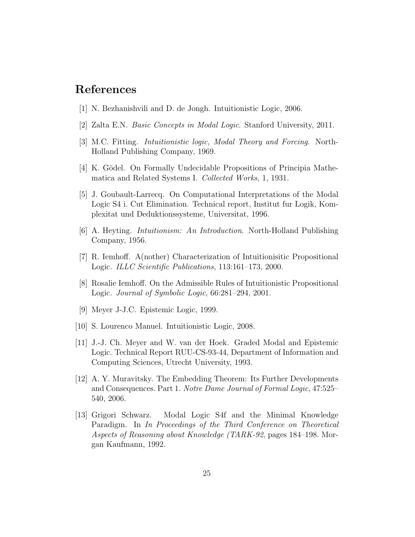### References

- [1] N. Bezhanishvili and D. de Jongh. Intuitionistic Logic, 2006.
- [2] Zalta E.N. Basic Concepts in Modal Logic. Stanford University, 2011.
- [3] M.C. Fitting. Intuitionistic logic, Modal Theory and Forcing. North-Holland Publishing Company, 1969.
- [4] K. Gödel. On Formally Undecidable Propositions of Principia Mathematica and Related Systems I. Collected Works, 1, 1931.
- [5] J. Goubault-Larrecq. On Computational Interpretations of the Modal Logic S4 i. Cut Elimination. Technical report, Institut fur Logik, Komplexitat und Deduktionssysteme, Universitat, 1996.
- [6] A. Heyting. Intuitionism: An Introduction. North-Holland Publishing Company, 1956.
- [7] R. Iemhoff. A(nother) Characterization of Intuitionisitic Propositional Logic. ILLC Scientific Publications, 113:161–173, 2000.
- [8] Rosalie Iemhoff. On the Admissible Rules of Intuitionistic Propositional Logic. Journal of Symbolic Logic, 66:281–294, 2001.
- [9] Meyer J-J.C. Epistemic Logic, 1999.
- [10] S. Lourenco Manuel. Intuitionistic Logic, 2008.
- [11] J.-J. Ch. Meyer and W. van der Hoek. Graded Modal and Epistemic Logic. Technical Report RUU-CS-93-44, Department of Information and Computing Sciences, Utrecht University, 1993.
- [12] A. Y. Muravitsky. The Embedding Theorem: Its Further Developments and Consequences. Part 1. Notre Dame Journal of Formal Logic, 47:525– 540, 2006.
- [13] Grigori Schwarz. Modal Logic S4f and the Minimal Knowledge Paradigm. In In Proceedings of the Third Conference on Theoretical Aspects of Reasoning about Knowledge (TARK-92, pages 184–198. Morgan Kaufmann, 1992.